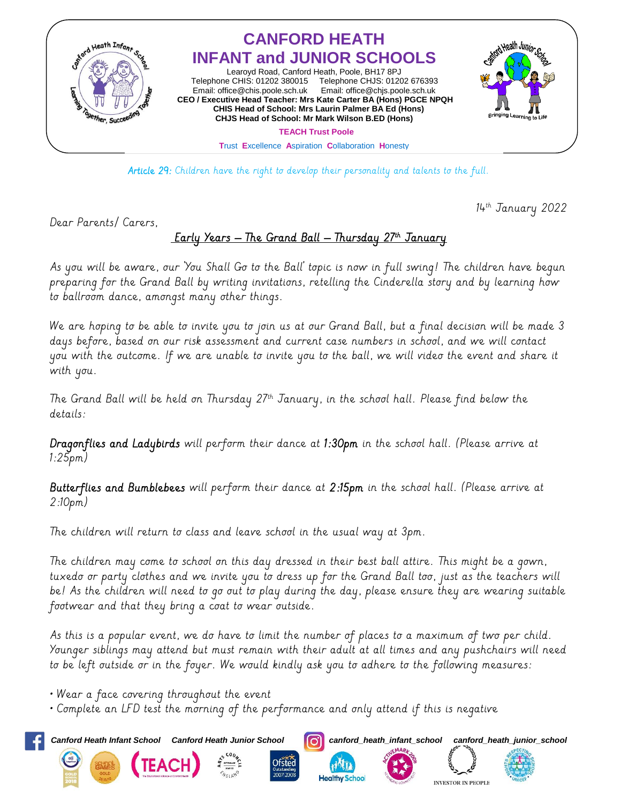

Article 29: Children have the right to develop their personality and talents to the full.

 $14<sup>th</sup>$  January 2022

Dear Parents/ Carers,

## Early Years – The Grand Ball – Thursday 27th January

As you will be aware, our 'You Shall Go to the Ball' topic is now in full swing! The children have begun preparing for the Grand Ball by writing invitations, retelling the Cinderella story and by learning how to ballroom dance, amongst many other things.

We are hoping to be able to invite you to join us at our Grand Ball, but a final decision will be made 3 days before, based on our risk assessment and current case numbers in school, and we will contact you with the outcome. If we are unable to invite you to the ball, we will video the event and share it with you.

The Grand Ball will be held on Thursday 27th January, in the school hall. Please find below the details:

Dragonflies and Ladybirds will perform their dance at 1:30pm in the school hall. (Please arrive at 1:25pm)

Butterflies and Bumblebees will perform their dance at 2:15pm in the school hall. (Please arrive at 2:10pm)

The children will return to class and leave school in the usual way at 3pm.

The children may come to school on this day dressed in their best ball attire. This might be a gown, tuxedo or party clothes and we invite you to dress up for the Grand Ball too, just as the teachers will be! As the children will need to go out to play during the day, please ensure they are wearing suitable footwear and that they bring a coat to wear outside.

As this is a popular event, we do have to limit the number of places to a maximum of two per child. Younger siblings may attend but must remain with their adult at all times and any pushchairs will need to be left outside or in the foyer. We would kindly ask you to adhere to the following measures:

• Wear a face covering throughout the event

• Complete an LFD test the morning of the performance and only attend if this is negative